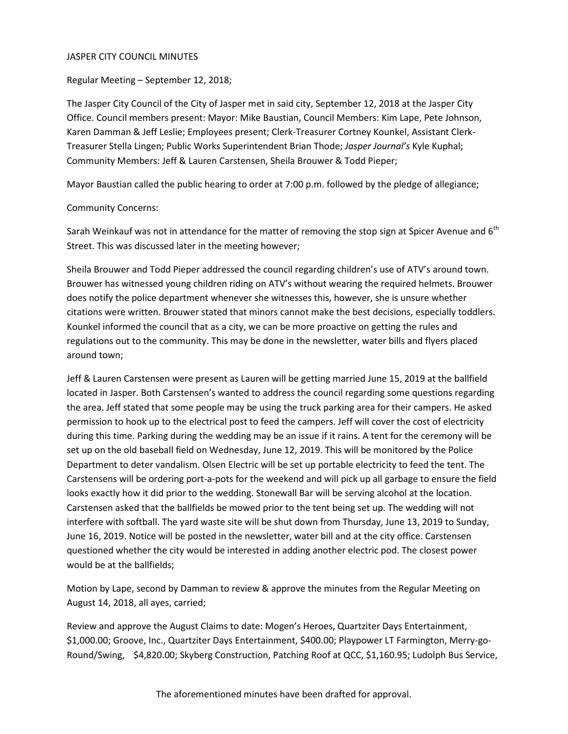#### JASPER CITY COUNCIL MINUTES

Regular Meeting – September 12, 2018;

The Jasper City Council of the City of Jasper met in said city, September 12, 2018 at the Jasper City Office. Council members present: Mayor: Mike Baustian, Council Members: Kim Lape, Pete Johnson, Karen Damman & Jeff Leslie; Employees present; Clerk-Treasurer Cortney Kounkel, Assistant Clerk-Treasurer Stella Lingen; Public Works Superintendent Brian Thode; *Jasper Journal's* Kyle Kuphal; Community Members: Jeff & Lauren Carstensen, Sheila Brouwer & Todd Pieper;

Mayor Baustian called the public hearing to order at 7:00 p.m. followed by the pledge of allegiance;

#### Community Concerns:

Sarah Weinkauf was not in attendance for the matter of removing the stop sign at Spicer Avenue and  $6<sup>th</sup>$ Street. This was discussed later in the meeting however;

Sheila Brouwer and Todd Pieper addressed the council regarding children's use of ATV's around town. Brouwer has witnessed young children riding on ATV's without wearing the required helmets. Brouwer does notify the police department whenever she witnesses this, however, she is unsure whether citations were written. Brouwer stated that minors cannot make the best decisions, especially toddlers. Kounkel informed the council that as a city, we can be more proactive on getting the rules and regulations out to the community. This may be done in the newsletter, water bills and flyers placed around town;

Jeff & Lauren Carstensen were present as Lauren will be getting married June 15, 2019 at the ballfield located in Jasper. Both Carstensen's wanted to address the council regarding some questions regarding the area. Jeff stated that some people may be using the truck parking area for their campers. He asked permission to hook up to the electrical post to feed the campers. Jeff will cover the cost of electricity during this time. Parking during the wedding may be an issue if it rains. A tent for the ceremony will be set up on the old baseball field on Wednesday, June 12, 2019. This will be monitored by the Police Department to deter vandalism. Olsen Electric will be set up portable electricity to feed the tent. The Carstensens will be ordering port-a-pots for the weekend and will pick up all garbage to ensure the field looks exactly how it did prior to the wedding. Stonewall Bar will be serving alcohol at the location. Carstensen asked that the ballfields be mowed prior to the tent being set up. The wedding will not interfere with softball. The yard waste site will be shut down from Thursday, June 13, 2019 to Sunday, June 16, 2019. Notice will be posted in the newsletter, water bill and at the city office. Carstensen questioned whether the city would be interested in adding another electric pod. The closest power would be at the ballfields;

Motion by Lape, second by Damman to review & approve the minutes from the Regular Meeting on August 14, 2018, all ayes, carried;

Review and approve the August Claims to date: Mogen's Heroes, Quartziter Days Entertainment, \$1,000.00; Groove, Inc., Quartziter Days Entertainment, \$400.00; Playpower LT Farmington, Merry-go-Round/Swing, \$4,820.00; Skyberg Construction, Patching Roof at QCC, \$1,160.95; Ludolph Bus Service,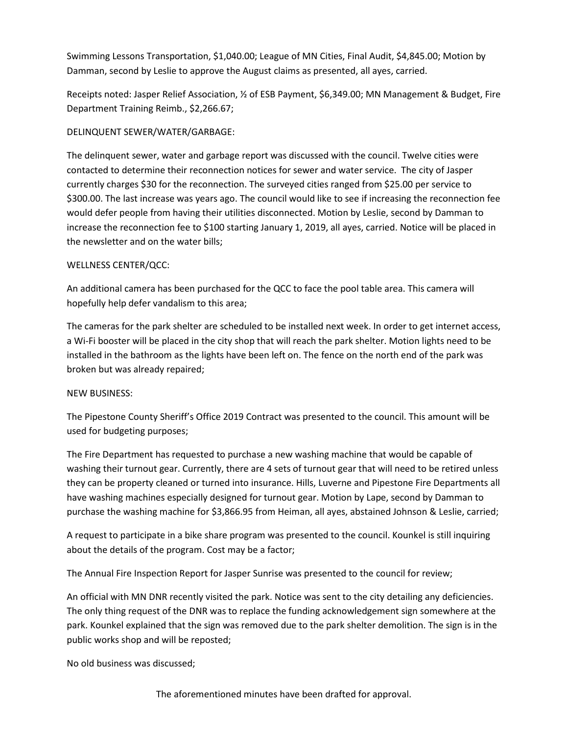Swimming Lessons Transportation, \$1,040.00; League of MN Cities, Final Audit, \$4,845.00; Motion by Damman, second by Leslie to approve the August claims as presented, all ayes, carried.

Receipts noted: Jasper Relief Association, ½ of ESB Payment, \$6,349.00; MN Management & Budget, Fire Department Training Reimb., \$2,266.67;

## DELINQUENT SEWER/WATER/GARBAGE:

The delinquent sewer, water and garbage report was discussed with the council. Twelve cities were contacted to determine their reconnection notices for sewer and water service. The city of Jasper currently charges \$30 for the reconnection. The surveyed cities ranged from \$25.00 per service to \$300.00. The last increase was years ago. The council would like to see if increasing the reconnection fee would defer people from having their utilities disconnected. Motion by Leslie, second by Damman to increase the reconnection fee to \$100 starting January 1, 2019, all ayes, carried. Notice will be placed in the newsletter and on the water bills;

### WELLNESS CENTER/QCC:

An additional camera has been purchased for the QCC to face the pool table area. This camera will hopefully help defer vandalism to this area;

The cameras for the park shelter are scheduled to be installed next week. In order to get internet access, a Wi-Fi booster will be placed in the city shop that will reach the park shelter. Motion lights need to be installed in the bathroom as the lights have been left on. The fence on the north end of the park was broken but was already repaired;

### NEW BUSINESS:

The Pipestone County Sheriff's Office 2019 Contract was presented to the council. This amount will be used for budgeting purposes;

The Fire Department has requested to purchase a new washing machine that would be capable of washing their turnout gear. Currently, there are 4 sets of turnout gear that will need to be retired unless they can be property cleaned or turned into insurance. Hills, Luverne and Pipestone Fire Departments all have washing machines especially designed for turnout gear. Motion by Lape, second by Damman to purchase the washing machine for \$3,866.95 from Heiman, all ayes, abstained Johnson & Leslie, carried;

A request to participate in a bike share program was presented to the council. Kounkel is still inquiring about the details of the program. Cost may be a factor;

The Annual Fire Inspection Report for Jasper Sunrise was presented to the council for review;

An official with MN DNR recently visited the park. Notice was sent to the city detailing any deficiencies. The only thing request of the DNR was to replace the funding acknowledgement sign somewhere at the park. Kounkel explained that the sign was removed due to the park shelter demolition. The sign is in the public works shop and will be reposted;

No old business was discussed;

The aforementioned minutes have been drafted for approval.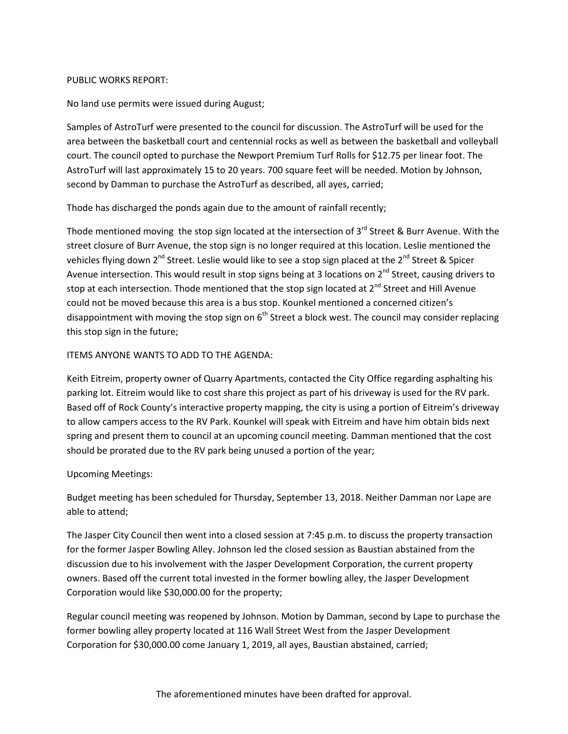#### PUBLIC WORKS REPORT:

No land use permits were issued during August;

Samples of AstroTurf were presented to the council for discussion. The AstroTurf will be used for the area between the basketball court and centennial rocks as well as between the basketball and volleyball court. The council opted to purchase the Newport Premium Turf Rolls for \$12.75 per linear foot. The AstroTurf will last approximately 15 to 20 years. 700 square feet will be needed. Motion by Johnson, second by Damman to purchase the AstroTurf as described, all ayes, carried;

Thode has discharged the ponds again due to the amount of rainfall recently;

Thode mentioned moving the stop sign located at the intersection of  $3^{rd}$  Street & Burr Avenue. With the street closure of Burr Avenue, the stop sign is no longer required at this location. Leslie mentioned the vehicles flying down  $2^{nd}$  Street. Leslie would like to see a stop sign placed at the  $2^{nd}$  Street & Spicer Avenue intersection. This would result in stop signs being at 3 locations on 2<sup>nd</sup> Street, causing drivers to stop at each intersection. Thode mentioned that the stop sign located at  $2^{nd}$  Street and Hill Avenue could not be moved because this area is a bus stop. Kounkel mentioned a concerned citizen's disappointment with moving the stop sign on  $6<sup>th</sup>$  Street a block west. The council may consider replacing this stop sign in the future;

### ITEMS ANYONE WANTS TO ADD TO THE AGENDA:

Keith Eitreim, property owner of Quarry Apartments, contacted the City Office regarding asphalting his parking lot. Eitreim would like to cost share this project as part of his driveway is used for the RV park. Based off of Rock County's interactive property mapping, the city is using a portion of Eitreim's driveway to allow campers access to the RV Park. Kounkel will speak with Eitreim and have him obtain bids next spring and present them to council at an upcoming council meeting. Damman mentioned that the cost should be prorated due to the RV park being unused a portion of the year;

# Upcoming Meetings:

Budget meeting has been scheduled for Thursday, September 13, 2018. Neither Damman nor Lape are able to attend;

The Jasper City Council then went into a closed session at 7:45 p.m. to discuss the property transaction for the former Jasper Bowling Alley. Johnson led the closed session as Baustian abstained from the discussion due to his involvement with the Jasper Development Corporation, the current property owners. Based off the current total invested in the former bowling alley, the Jasper Development Corporation would like \$30,000.00 for the property;

Regular council meeting was reopened by Johnson. Motion by Damman, second by Lape to purchase the former bowling alley property located at 116 Wall Street West from the Jasper Development Corporation for \$30,000.00 come January 1, 2019, all ayes, Baustian abstained, carried;